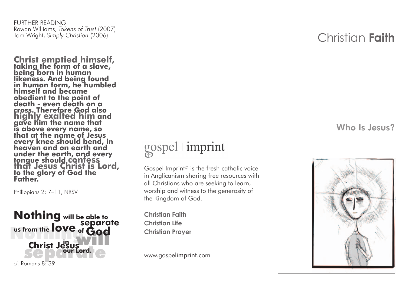FURTHER READING Rowan Williams, *Tokens of Trust* (2007) Tom Wright, *Simply Christian* (2006)

**Christ emptied himself,<br>taking the form of a slave, being born in human likeness. And being found in human form, he humbled himself and became obedient to the point of death - even death on a highly exalted him and gave him the name that is above every name, so that at the name of Jesus every knee should bend, in heaven and on earth and under the earth, and every tongue should confess<br>that Jesus Christ is Lord,<br>to the glory of God the Father.** 

Philippians 2: 7–11, NRSV



## gospel | imprint

Gospel Imprint © is the fresh catholic voice in Anglicanism sharing free resources with all Christians who are seeking to learn, worship and witness to the generosity of the Kingdom of God.

**Christian Faith Christian Life Christian Prayer**

www.gospelimprint.com

## Christian **Faith**

## Who Is Jesus?